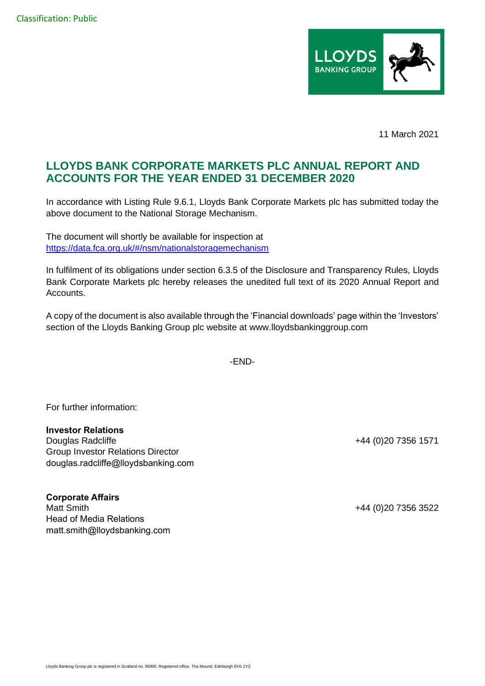

11 March 2021

## **LLOYDS BANK CORPORATE MARKETS PLC ANNUAL REPORT AND ACCOUNTS FOR THE YEAR ENDED 31 DECEMBER 2020**

In accordance with Listing Rule 9.6.1, Lloyds Bank Corporate Markets plc has submitted today the above document to the National Storage Mechanism.

The document will shortly be available for inspection at [https://data.fca.org.uk/#/nsm/nationalstoragemechanism](https://eur02.safelinks.protection.outlook.com/?url=https%3A%2F%2Fdata.fca.org.uk%2F%23%2Fnsm%2Fnationalstoragemechanism&data=04%7C01%7CHannah.Boore%40lloydsbanking.com%7Cf478194d493f4e2a726008d8da6543d3%7C3ded2960214a46ff8cf4611f125e2398%7C0%7C0%7C637499475745921990%7CUnknown%7CTWFpbGZsb3d8eyJWIjoiMC4wLjAwMDAiLCJQIjoiV2luMzIiLCJBTiI6Ik1haWwiLCJXVCI6Mn0%3D%7C1000&sdata=HKhpYPA9fSsjBwiR9NG1EHWMP7vx2WpuAJN%2B%2Fq4Pee0%3D&reserved=0)

In fulfilment of its obligations under section 6.3.5 of the Disclosure and Transparency Rules, Lloyds Bank Corporate Markets plc hereby releases the unedited full text of its 2020 Annual Report and Accounts.

A copy of the document is also available through the 'Financial downloads' page within the 'Investors' section of the Lloyds Banking Group plc website at www.lloydsbankinggroup.com

-END-

For further information:

## **Investor Relations**

Douglas Radcliffe **+44** (0)20 7356 1571 Group Investor Relations Director douglas.radcliffe@lloydsbanking.com

## **Corporate Affairs**

Matt Smith +44 (0)20 7356 3522 Head of Media Relations matt.smith@lloydsbanking.com